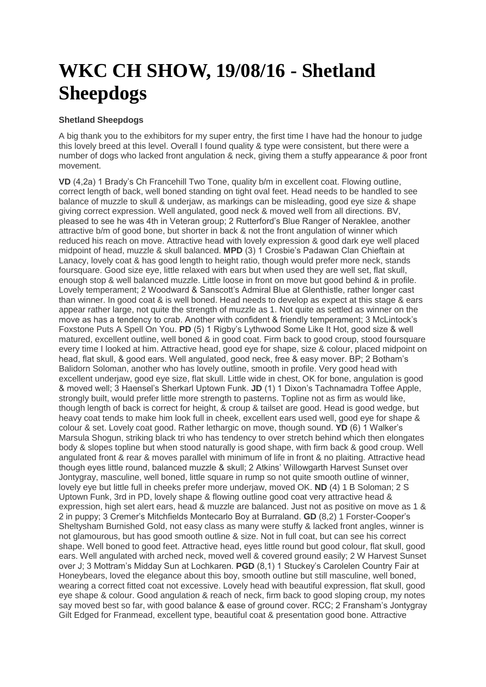## **WKC CH SHOW, 19/08/16 - Shetland Sheepdogs**

## **Shetland Sheepdogs**

A big thank you to the exhibitors for my super entry, the first time I have had the honour to judge this lovely breed at this level. Overall I found quality & type were consistent, but there were a number of dogs who lacked front angulation & neck, giving them a stuffy appearance & poor front movement.

**VD** (4,2a) 1 Brady's Ch Francehill Two Tone, quality b/m in excellent coat. Flowing outline, correct length of back, well boned standing on tight oval feet. Head needs to be handled to see balance of muzzle to skull & underjaw, as markings can be misleading, good eye size & shape giving correct expression. Well angulated, good neck & moved well from all directions. BV, pleased to see he was 4th in Veteran group; 2 Rutterford's Blue Ranger of Neraklee, another attractive b/m of good bone, but shorter in back & not the front angulation of winner which reduced his reach on move. Attractive head with lovely expression & good dark eye well placed midpoint of head, muzzle & skull balanced. **MPD** (3) 1 Crosbie's Padawan Clan Chieftain at Lanacy, lovely coat & has good length to height ratio, though would prefer more neck, stands foursquare. Good size eye, little relaxed with ears but when used they are well set, flat skull, enough stop & well balanced muzzle. Little loose in front on move but good behind & in profile. Lovely temperament; 2 Woodward & Sanscott's Admiral Blue at Glenthistle, rather longer cast than winner. In good coat & is well boned. Head needs to develop as expect at this stage & ears appear rather large, not quite the strength of muzzle as 1. Not quite as settled as winner on the move as has a tendency to crab. Another with confident & friendly temperament; 3 McLintock's Foxstone Puts A Spell On You. **PD** (5) 1 Rigby's Lythwood Some Like It Hot, good size & well matured, excellent outline, well boned & in good coat. Firm back to good croup, stood foursquare every time I looked at him. Attractive head, good eye for shape, size & colour, placed midpoint on head, flat skull, & good ears. Well angulated, good neck, free & easy mover. BP; 2 Botham's Balidorn Soloman, another who has lovely outline, smooth in profile. Very good head with excellent underjaw, good eye size, flat skull. Little wide in chest, OK for bone, angulation is good & moved well; 3 Haensel's Sherkarl Uptown Funk. **JD** (1) 1 Dixon's Tachnamadra Toffee Apple, strongly built, would prefer little more strength to pasterns. Topline not as firm as would like, though length of back is correct for height, & croup & tailset are good. Head is good wedge, but heavy coat tends to make him look full in cheek, excellent ears used well, good eve for shape & colour & set. Lovely coat good. Rather lethargic on move, though sound. **YD** (6) 1 Walker's Marsula Shogun, striking black tri who has tendency to over stretch behind which then elongates body & slopes topline but when stood naturally is good shape, with firm back & good croup. Well angulated front & rear & moves parallel with minimum of life in front & no plaiting. Attractive head though eyes little round, balanced muzzle & skull; 2 Atkins' Willowgarth Harvest Sunset over Jontygray, masculine, well boned, little square in rump so not quite smooth outline of winner, lovely eye but little full in cheeks prefer more underjaw, moved OK. **ND** (4) 1 B Soloman; 2 S Uptown Funk, 3rd in PD, lovely shape & flowing outline good coat very attractive head & expression, high set alert ears, head & muzzle are balanced. Just not as positive on move as 1 & 2 in puppy; 3 Cremer's Mitchfields Montecarlo Boy at Burraland. **GD** (8,2) 1 Forster-Cooper's Sheltysham Burnished Gold, not easy class as many were stuffy & lacked front angles, winner is not glamourous, but has good smooth outline & size. Not in full coat, but can see his correct shape. Well boned to good feet. Attractive head, eyes little round but good colour, flat skull, good ears. Well angulated with arched neck, moved well & covered ground easily; 2 W Harvest Sunset over J; 3 Mottram's Midday Sun at Lochkaren. **PGD** (8,1) 1 Stuckey's Carolelen Country Fair at Honeybears, loved the elegance about this boy, smooth outline but still masculine, well boned, wearing a correct fitted coat not excessive. Lovely head with beautiful expression, flat skull, good eye shape & colour. Good angulation & reach of neck, firm back to good sloping croup, my notes say moved best so far, with good balance & ease of ground cover. RCC; 2 Fransham's Jontygray Gilt Edged for Franmead, excellent type, beautiful coat & presentation good bone. Attractive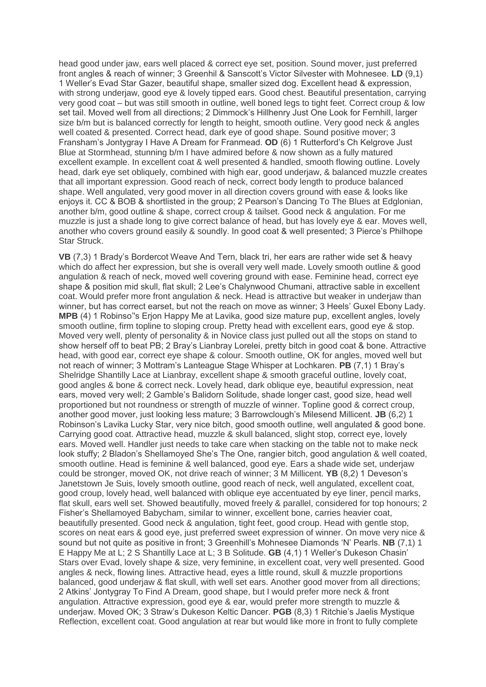head good under jaw, ears well placed & correct eye set, position. Sound mover, just preferred front angles & reach of winner; 3 Greenhil & Sanscott's Victor Silvester with Mohnesee. **LD** (9,1) 1 Weller's Evad Star Gazer, beautiful shape, smaller sized dog. Excellent head & expression, with strong underjaw, good eye & lovely tipped ears. Good chest. Beautiful presentation, carrying very good coat – but was still smooth in outline, well boned legs to tight feet. Correct croup & low set tail. Moved well from all directions; 2 Dimmock's Hillhenry Just One Look for Fernhill, larger size b/m but is balanced correctly for length to height, smooth outline. Very good neck & angles well coated & presented. Correct head, dark eye of good shape. Sound positive mover; 3 Fransham's Jontygray I Have A Dream for Franmead. **OD** (6) 1 Rutterford's Ch Kelgrove Just Blue at Stormhead, stunning b/m I have admired before & now shown as a fully matured excellent example. In excellent coat & well presented & handled, smooth flowing outline. Lovely head, dark eye set obliquely, combined with high ear, good underjaw, & balanced muzzle creates that all important expression. Good reach of neck, correct body length to produce balanced shape. Well angulated, very good mover in all direction covers ground with ease & looks like enjoys it. CC & BOB & shortlisted in the group; 2 Pearson's Dancing To The Blues at Edglonian, another b/m, good outline & shape, correct croup & tailset. Good neck & angulation. For me muzzle is just a shade long to give correct balance of head, but has lovely eye & ear. Moves well, another who covers ground easily & soundly. In good coat & well presented; 3 Pierce's Philhope Star Struck.

**VB** (7,3) 1 Brady's Bordercot Weave And Tern, black tri, her ears are rather wide set & heavy which do affect her expression, but she is overall very well made. Lovely smooth outline & good angulation & reach of neck, moved well covering ground with ease. Feminine head, correct eye shape & position mid skull, flat skull; 2 Lee's Chalynwood Chumani, attractive sable in excellent coat. Would prefer more front angulation & neck. Head is attractive but weaker in underjaw than winner, but has correct earset, but not the reach on move as winner; 3 Heels' Guxel Ebony Lady. **MPB** (4) 1 Robinso''s Erjon Happy Me at Lavika, good size mature pup, excellent angles, lovely smooth outline, firm topline to sloping croup. Pretty head with excellent ears, good eye & stop. Moved very well, plenty of personality & in Novice class just pulled out all the stops on stand to show herself off to beat PB; 2 Bray's Lianbray Lorelei, pretty bitch in good coat & bone. Attractive head, with good ear, correct eye shape & colour. Smooth outline, OK for angles, moved well but not reach of winner; 3 Mottram's Lanteague Stage Whisper at Lochkaren. **PB** (7,1) 1 Bray's Shelridge Shantilly Lace at Lianbray, excellent shape & smooth graceful outline, lovely coat, good angles & bone & correct neck. Lovely head, dark oblique eye, beautiful expression, neat ears, moved very well; 2 Gamble's Balidorn Solitude, shade longer cast, good size, head well proportioned but not roundness or strength of muzzle of winner. Topline good & correct croup, another good mover, just looking less mature; 3 Barrowclough's Milesend Millicent. **JB** (6,2) 1 Robinson's Lavika Lucky Star, very nice bitch, good smooth outline, well angulated & good bone. Carrying good coat. Attractive head, muzzle & skull balanced, slight stop, correct eye, lovely ears. Moved well. Handler just needs to take care when stacking on the table not to make neck look stuffy; 2 Bladon's Shellamoyed She's The One, rangier bitch, good angulation & well coated, smooth outline. Head is feminine & well balanced, good eye. Ears a shade wide set, underjaw could be stronger, moved OK, not drive reach of winner; 3 M Millicent. **YB** (8,2) 1 Deveson's Janetstown Je Suis, lovely smooth outline, good reach of neck, well angulated, excellent coat, good croup, lovely head, well balanced with oblique eye accentuated by eye liner, pencil marks, flat skull, ears well set. Showed beautifully, moved freely & parallel, considered for top honours; 2 Fisher's Shellamoyed Babycham, similar to winner, excellent bone, carries heavier coat, beautifully presented. Good neck & angulation, tight feet, good croup. Head with gentle stop, scores on neat ears & good eye, just preferred sweet expression of winner. On move very nice & sound but not quite as positive in front; 3 Greenhill's Mohnesee Diamonds 'N' Pearls. **NB** (7,1) 1 E Happy Me at L; 2 S Shantilly Lace at L; 3 B Solitude. **GB** (4,1) 1 Weller's Dukeson Chasin' Stars over Evad, lovely shape & size, very feminine, in excellent coat, very well presented. Good angles & neck, flowing lines. Attractive head, eyes a little round, skull & muzzle proportions balanced, good underjaw & flat skull, with well set ears. Another good mover from all directions; 2 Atkins' Jontygray To Find A Dream, good shape, but I would prefer more neck & front angulation. Attractive expression, good eye & ear, would prefer more strength to muzzle & underjaw. Moved OK; 3 Straw's Dukeson Keltic Dancer. **PGB** (8,3) 1 Ritchie's Jaelis Mystique Reflection, excellent coat. Good angulation at rear but would like more in front to fully complete